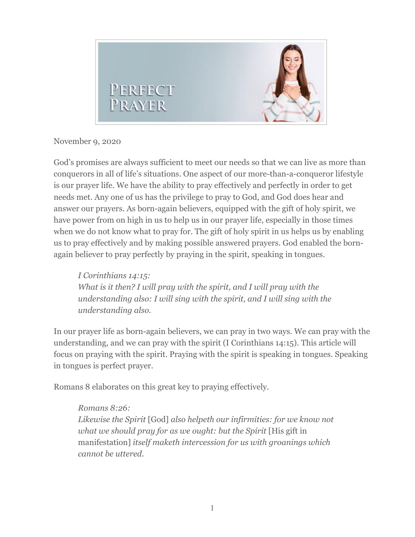

## November 9, 2020

God's promises are always sufficient to meet our needs so that we can live as more than conquerors in all of life's situations. One aspect of our more-than-a-conqueror lifestyle is our prayer life. We have the ability to pray effectively and perfectly in order to get needs met. Any one of us has the privilege to pray to God, and God does hear and answer our prayers. As born-again believers, equipped with the gift of holy spirit, we have power from on high in us to help us in our prayer life, especially in those times when we do not know what to pray for. The gift of holy spirit in us helps us by enabling us to pray effectively and by making possible answered prayers. God enabled the bornagain believer to pray perfectly by praying in the spirit, speaking in tongues.

*I Corinthians 14:15: What is it then? I will pray with the spirit, and I will pray with the understanding also: I will sing with the spirit, and I will sing with the understanding also.*

In our prayer life as born-again believers, we can pray in two ways. We can pray with the understanding, and we can pray with the spirit (I Corinthians 14:15). This article will focus on praying with the spirit. Praying with the spirit is speaking in tongues. Speaking in tongues is perfect prayer.

Romans 8 elaborates on this great key to praying effectively.

## *Romans 8:26:*

*Likewise the Spirit* [God] *also helpeth our infirmities: for we know not what we should pray for as we ought: but the Spirit* [His gift in manifestation] *itself maketh intercession for us with groanings which cannot be uttered.*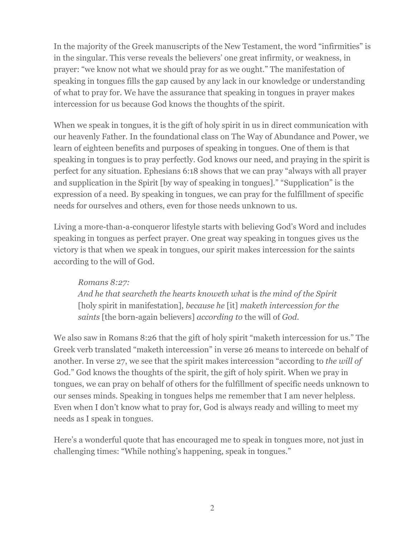In the majority of the Greek manuscripts of the New Testament, the word "infirmities" is in the singular. This verse reveals the believers' one great infirmity, or weakness, in prayer: "we know not what we should pray for as we ought." The manifestation of speaking in tongues fills the gap caused by any lack in our knowledge or understanding of what to pray for. We have the assurance that speaking in tongues in prayer makes intercession for us because God knows the thoughts of the spirit.

When we speak in tongues, it is the gift of holy spirit in us in direct communication with our heavenly Father. In the foundational class on The Way of Abundance and Power, we learn of eighteen benefits and purposes of speaking in tongues. One of them is that speaking in tongues is to pray perfectly. God knows our need, and praying in the spirit is perfect for any situation. Ephesians 6:18 shows that we can pray "always with all prayer and supplication in the Spirit [by way of speaking in tongues]." "Supplication" is the expression of a need. By speaking in tongues, we can pray for the fulfillment of specific needs for ourselves and others, even for those needs unknown to us.

Living a more-than-a-conqueror lifestyle starts with believing God's Word and includes speaking in tongues as perfect prayer. One great way speaking in tongues gives us the victory is that when we speak in tongues, our spirit makes intercession for the saints according to the will of God.

## *Romans 8:27:*

*And he that searcheth the hearts knoweth what* is *the mind of the Spirit*  [holy spirit in manifestation], *because he* [it] *maketh intercession for the saints* [the born-again believers] *according to* the will of *God.*

We also saw in Romans 8:26 that the gift of holy spirit "maketh intercession for us." The Greek verb translated "maketh intercession" in verse 26 means to intercede on behalf of another. In verse 27, we see that the spirit makes intercession "according to *the will of* God." God knows the thoughts of the spirit, the gift of holy spirit. When we pray in tongues, we can pray on behalf of others for the fulfillment of specific needs unknown to our senses minds. Speaking in tongues helps me remember that I am never helpless. Even when I don't know what to pray for, God is always ready and willing to meet my needs as I speak in tongues.

Here's a wonderful quote that has encouraged me to speak in tongues more, not just in challenging times: "While nothing's happening, speak in tongues."